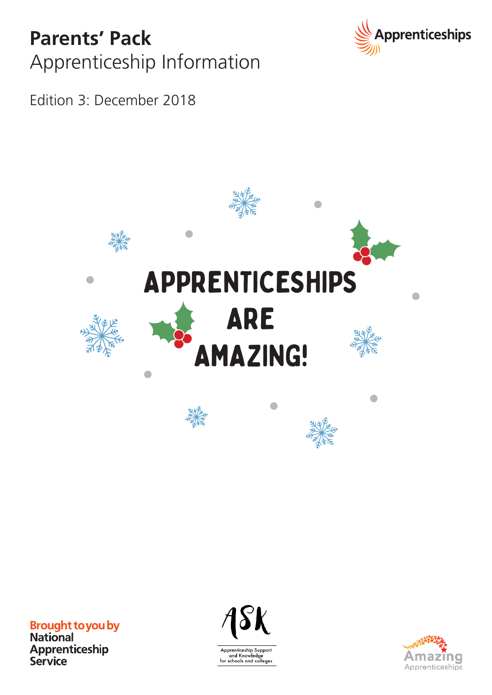### **Parents' Pack** Apprenticeship Information



Edition 3: December 2018



**Brought to you by**<br>National Apprenticeship<br>Service



Apprenticeship Support<br>and Knowledge<br>for schools and colleges

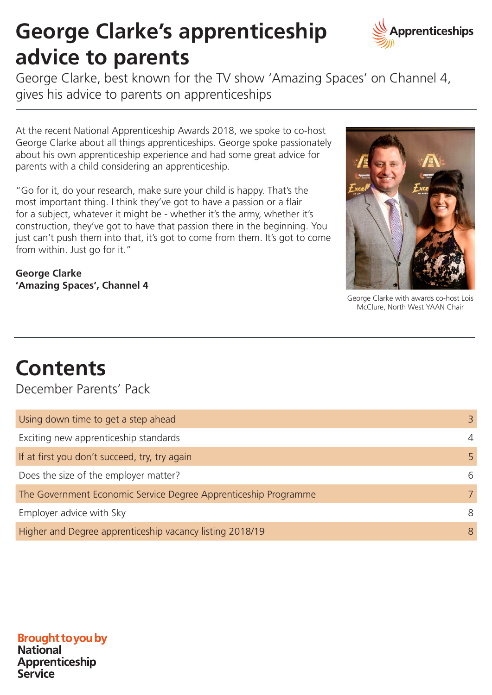## **George Clarke's apprenticeship advice to parents**



George Clarke, best known for the TV show 'Amazing Spaces' on Channel 4, gives his advice to parents on apprenticeships

At the recent National Apprenticeship Awards 2018, we spoke to co-host George Clarke about all things apprenticeships. George spoke passionately about his own apprenticeship experience and had some great advice for parents with a child considering an apprenticeship.

"Go for it, do your research, make sure your child is happy. That's the most important thing. I think they've got to have a passion or a flair for a subject, whatever it might be - whether it's the army, whether it's construction, they've got to have that passion there in the beginning. You just can't push them into that, it's got to come from them. It's got to come from within. Just go for it."

**George Clarke 'Amazing Spaces', Channel 4**



George Clarke with awards co-host Lois McClure, North West YAAN Chair

### **Contents**

December Parents' Pack

| Using down time to get a step ahead                             | 3              |
|-----------------------------------------------------------------|----------------|
| Exciting new apprenticeship standards                           | $\overline{4}$ |
| If at first you don't succeed, try, try again                   | 5              |
| Does the size of the employer matter?                           | 6              |
| The Government Economic Service Degree Apprenticeship Programme | 7              |
| Employer advice with Sky                                        | 8              |
| Higher and Degree apprenticeship vacancy listing 2018/19        | 8              |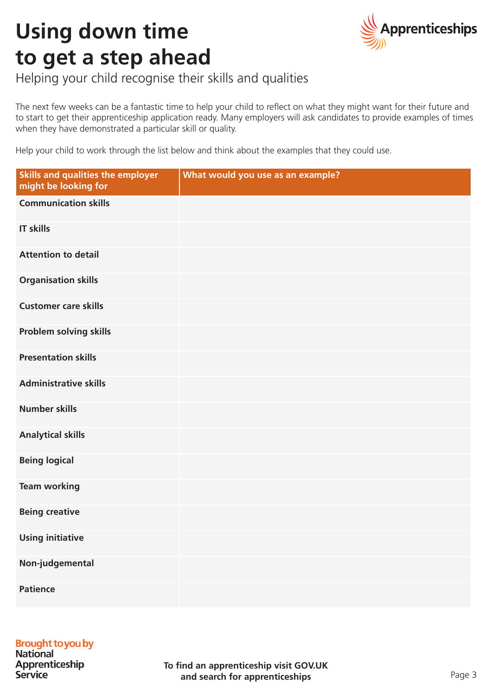## **Using down time to get a step ahead**



Helping your child recognise their skills and qualities

The next few weeks can be a fantastic time to help your child to reflect on what they might want for their future and to start to get their apprenticeship application ready. Many employers will ask candidates to provide examples of times when they have demonstrated a particular skill or quality.

Help your child to work through the list below and think about the examples that they could use.

| <b>Skills and qualities the employer</b><br>might be looking for | What would you use as an example? |
|------------------------------------------------------------------|-----------------------------------|
| <b>Communication skills</b>                                      |                                   |
| <b>IT skills</b>                                                 |                                   |
| <b>Attention to detail</b>                                       |                                   |
| <b>Organisation skills</b>                                       |                                   |
| <b>Customer care skills</b>                                      |                                   |
| Problem solving skills                                           |                                   |
| <b>Presentation skills</b>                                       |                                   |
| <b>Administrative skills</b>                                     |                                   |
| <b>Number skills</b>                                             |                                   |
| <b>Analytical skills</b>                                         |                                   |
| <b>Being logical</b>                                             |                                   |
| <b>Team working</b>                                              |                                   |
| <b>Being creative</b>                                            |                                   |
| <b>Using initiative</b>                                          |                                   |
| Non-judgemental                                                  |                                   |
| <b>Patience</b>                                                  |                                   |

### **Brought to you by**

**National** Apprenticeship **Service**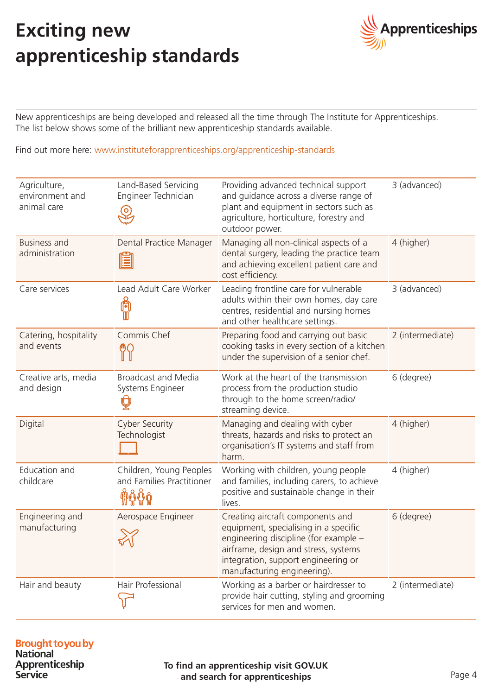### **Exciting new apprenticeship standards**



New apprenticeships are being developed and released all the time through The Institute for Apprenticeships. The list below shows some of the brilliant new apprenticeship standards available.

Find out more here: www.instituteforapprenticeships.org/apprenticeship-standards

| Agriculture,<br>environment and<br>animal care | Land-Based Servicing<br>Engineer Technician          | Providing advanced technical support<br>and guidance across a diverse range of<br>plant and equipment in sectors such as<br>agriculture, horticulture, forestry and<br>outdoor power.                                            | 3 (advanced)     |
|------------------------------------------------|------------------------------------------------------|----------------------------------------------------------------------------------------------------------------------------------------------------------------------------------------------------------------------------------|------------------|
| <b>Business and</b><br>administration          | Dental Practice Manager<br>E                         | Managing all non-clinical aspects of a<br>dental surgery, leading the practice team<br>and achieving excellent patient care and<br>cost efficiency.                                                                              | 4 (higher)       |
| Care services                                  | Lead Adult Care Worker<br>隙                          | Leading frontline care for vulnerable<br>adults within their own homes, day care<br>centres, residential and nursing homes<br>and other healthcare settings.                                                                     | 3 (advanced)     |
| Catering, hospitality<br>and events            | Commis Chef                                          | Preparing food and carrying out basic<br>cooking tasks in every section of a kitchen<br>under the supervision of a senior chef.                                                                                                  | 2 (intermediate) |
| Creative arts, media<br>and design             | <b>Broadcast and Media</b><br>Systems Engineer       | Work at the heart of the transmission<br>process from the production studio<br>through to the home screen/radio/<br>streaming device.                                                                                            | 6 (degree)       |
| Digital                                        | <b>Cyber Security</b><br>Technologist                | Managing and dealing with cyber<br>threats, hazards and risks to protect an<br>organisation's IT systems and staff from<br>harm.                                                                                                 | 4 (higher)       |
| Education and<br>childcare                     | Children, Young Peoples<br>and Families Practitioner | Working with children, young people<br>and families, including carers, to achieve<br>positive and sustainable change in their<br>lives.                                                                                          | 4 (higher)       |
| Engineering and<br>manufacturing               | Aerospace Engineer                                   | Creating aircraft components and<br>equipment, specialising in a specific<br>engineering discipline (for example -<br>airframe, design and stress, systems<br>integration, support engineering or<br>manufacturing engineering). | 6 (degree)       |
| Hair and beauty                                | Hair Professional                                    | Working as a barber or hairdresser to<br>provide hair cutting, styling and grooming<br>services for men and women.                                                                                                               | 2 (intermediate) |

### **Brought to you by**<br>National

Apprenticeship **Service** 

**To find an apprenticeship visit GOV.UK and search for apprenticeships** Page 4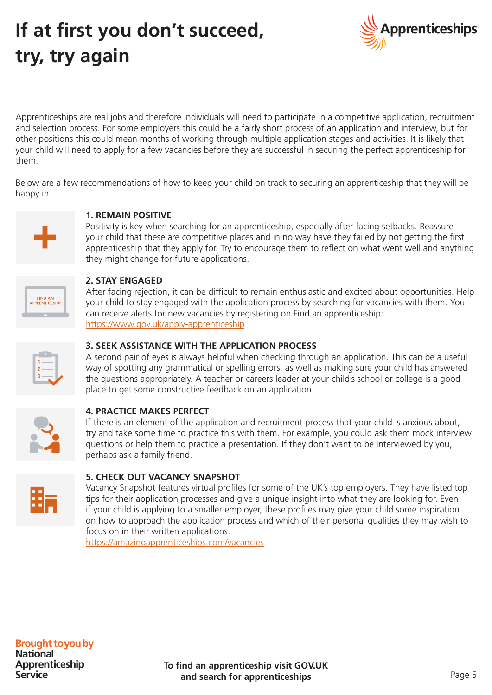## **If at first you don't succeed, try, try again**



Apprenticeships are real jobs and therefore individuals will need to participate in a competitive application, recruitment and selection process. For some employers this could be a fairly short process of an application and interview, but for other positions this could mean months of working through multiple application stages and activities. It is likely that your child will need to apply for a few vacancies before they are successful in securing the perfect apprenticeship for them.

Below are a few recommendations of how to keep your child on track to securing an apprenticeship that they will be happy in.



#### **1. Remain positive**

Positivity is key when searching for an apprenticeship, especially after facing setbacks. Reassure your child that these are competitive places and in no way have they failed by not getting the first apprenticeship that they apply for. Try to encourage them to reflect on what went well and anything they might change for future applications.

| <b>FIND AN</b><br><b>APPRENTICESHIP</b> |
|-----------------------------------------|
|                                         |

#### **2. Stay engaged**

After facing rejection, it can be difficult to remain enthusiastic and excited about opportunities. Help your child to stay engaged with the application process by searching for vacancies with them. You can receive alerts for new vacancies by registering on Find an apprenticeship: https://www.gov.uk/apply-apprenticeship

| L<br>$\sim$ |  |
|-------------|--|
| $2 -$       |  |
| $3 -$       |  |
|             |  |

#### **3. Seek assistance with the application process**

A second pair of eyes is always helpful when checking through an application. This can be a useful way of spotting any grammatical or spelling errors, as well as making sure your child has answered the questions appropriately. A teacher or careers leader at your child's school or college is a good place to get some constructive feedback on an application.



#### **4. Practice makes perfect**

If there is an element of the application and recruitment process that your child is anxious about, try and take some time to practice this with them. For example, you could ask them mock interview questions or help them to practice a presentation. If they don't want to be interviewed by you, perhaps ask a family friend.



#### **5. Check out Vacancy Snapshot**

Vacancy Snapshot features virtual profiles for some of the UK's top employers. They have listed top tips for their application processes and give a unique insight into what they are looking for. Even if your child is applying to a smaller employer, these profiles may give your child some inspiration on how to approach the application process and which of their personal qualities they may wish to focus on in their written applications.

https://amazingapprenticeships.com/vacancies

### **Brought to you by**

**National** Apprenticeship **Service**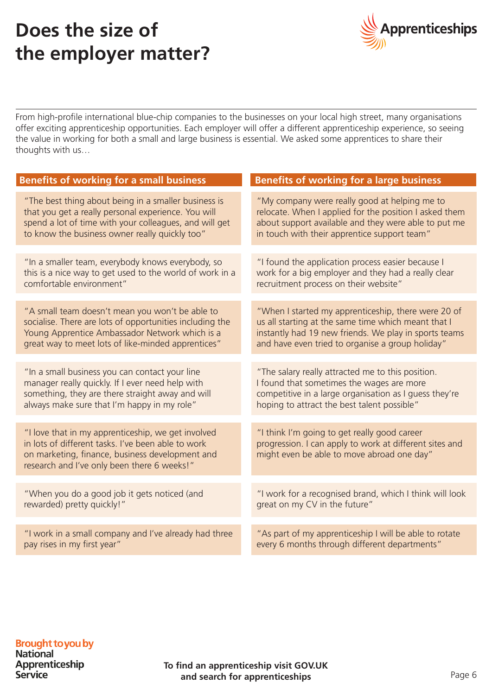### **Does the size of the employer matter?**



From high-profile international blue-chip companies to the businesses on your local high street, many organisations offer exciting apprenticeship opportunities. Each employer will offer a different apprenticeship experience, so seeing the value in working for both a small and large business is essential. We asked some apprentices to share their thoughts with us…

| <b>Benefits of working for a small business</b>                                                                                                                                                                         | <b>Benefits of working for a large business</b>                                                                                                                                                                         |
|-------------------------------------------------------------------------------------------------------------------------------------------------------------------------------------------------------------------------|-------------------------------------------------------------------------------------------------------------------------------------------------------------------------------------------------------------------------|
| "The best thing about being in a smaller business is<br>that you get a really personal experience. You will<br>spend a lot of time with your colleagues, and will get<br>to know the business owner really quickly too" | "My company were really good at helping me to<br>relocate. When I applied for the position I asked them<br>about support available and they were able to put me<br>in touch with their apprentice support team"         |
|                                                                                                                                                                                                                         |                                                                                                                                                                                                                         |
| "In a smaller team, everybody knows everybody, so<br>this is a nice way to get used to the world of work in a<br>comfortable environment"                                                                               | "I found the application process easier because I<br>work for a big employer and they had a really clear<br>recruitment process on their website"                                                                       |
|                                                                                                                                                                                                                         |                                                                                                                                                                                                                         |
| "A small team doesn't mean you won't be able to<br>socialise. There are lots of opportunities including the<br>Young Apprentice Ambassador Network which is a<br>great way to meet lots of like-minded apprentices"     | "When I started my apprenticeship, there were 20 of<br>us all starting at the same time which meant that I<br>instantly had 19 new friends. We play in sports teams<br>and have even tried to organise a group holiday" |
|                                                                                                                                                                                                                         |                                                                                                                                                                                                                         |
| "In a small business you can contact your line<br>manager really quickly. If I ever need help with<br>something, they are there straight away and will<br>always make sure that I'm happy in my role"                   | "The salary really attracted me to this position.<br>I found that sometimes the wages are more<br>competitive in a large organisation as I guess they're<br>hoping to attract the best talent possible"                 |
| "I love that in my apprenticeship, we get involved<br>in lots of different tasks. I've been able to work<br>on marketing, finance, business development and<br>research and I've only been there 6 weeks!"              | "I think I'm going to get really good career<br>progression. I can apply to work at different sites and<br>might even be able to move abroad one day"                                                                   |
|                                                                                                                                                                                                                         |                                                                                                                                                                                                                         |
| "When you do a good job it gets noticed (and<br>rewarded) pretty quickly!"                                                                                                                                              | "I work for a recognised brand, which I think will look<br>great on my CV in the future"                                                                                                                                |
|                                                                                                                                                                                                                         |                                                                                                                                                                                                                         |
| "I work in a small company and I've already had three<br>pay rises in my first year"                                                                                                                                    | "As part of my apprenticeship I will be able to rotate<br>every 6 months through different departments"                                                                                                                 |

### **Brought to you by**

**National** Apprenticeship Service

**To find an apprenticeship visit GOV.UK and search for apprenticeships** Page 6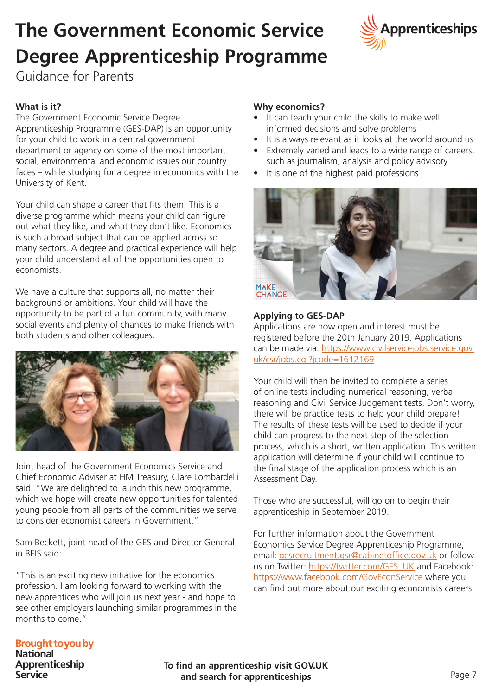## **The Government Economic Service Degree Apprenticeship Programme**



Guidance for Parents

### **What is it?**

The Government Economic Service Degree Apprenticeship Programme (GES-DAP) is an opportunity for your child to work in a central government department or agency on some of the most important social, environmental and economic issues our country faces – while studying for a degree in economics with the University of Kent.

Your child can shape a career that fits them. This is a diverse programme which means your child can figure out what they like, and what they don't like. Economics is such a broad subject that can be applied across so many sectors. A degree and practical experience will help your child understand all of the opportunities open to economists.

We have a culture that supports all, no matter their background or ambitions. Your child will have the opportunity to be part of a fun community, with many social events and plenty of chances to make friends with both students and other colleagues.



Joint head of the Government Economics Service and Chief Economic Adviser at HM Treasury, Clare Lombardelli said: "We are delighted to launch this new programme, which we hope will create new opportunities for talented young people from all parts of the communities we serve to consider economist careers in Government."

Sam Beckett, joint head of the GES and Director General in BEIS said:

"This is an exciting new initiative for the economics profession. I am looking forward to working with the new apprentices who will join us next year - and hope to see other employers launching similar programmes in the months to come."

### **Why economics?**

- It can teach your child the skills to make well informed decisions and solve problems
- It is always relevant as it looks at the world around us
- Extremely varied and leads to a wide range of careers, such as journalism, analysis and policy advisory
- It is one of the highest paid professions



#### **Applying to GES-DAP**

Applications are now open and interest must be registered before the 20th January 2019. Applications can be made via: https://www.civilservicejobs.service.gov. uk/csr/jobs.cgi?jcode=1612169

Your child will then be invited to complete a series of online tests including numerical reasoning, verbal reasoning and Civil Service Judgement tests. Don't worry, there will be practice tests to help your child prepare! The results of these tests will be used to decide if your child can progress to the next step of the selection process, which is a short, written application. This written application will determine if your child will continue to the final stage of the application process which is an Assessment Day.

Those who are successful, will go on to begin their apprenticeship in September 2019.

For further information about the Government Economics Service Degree Apprenticeship Programme, email: gesrecruitment.gsr@cabinetoffice.gov.uk or follow us on Twitter: https://twitter.com/GES\_UK and Facebook: https://www.facebook.com/GovEconService where you can find out more about our exciting economists careers.

### **Brought to you by**

**National** Apprenticeship **Service** 

**To find an apprenticeship visit GOV.UK and search for apprenticeships**